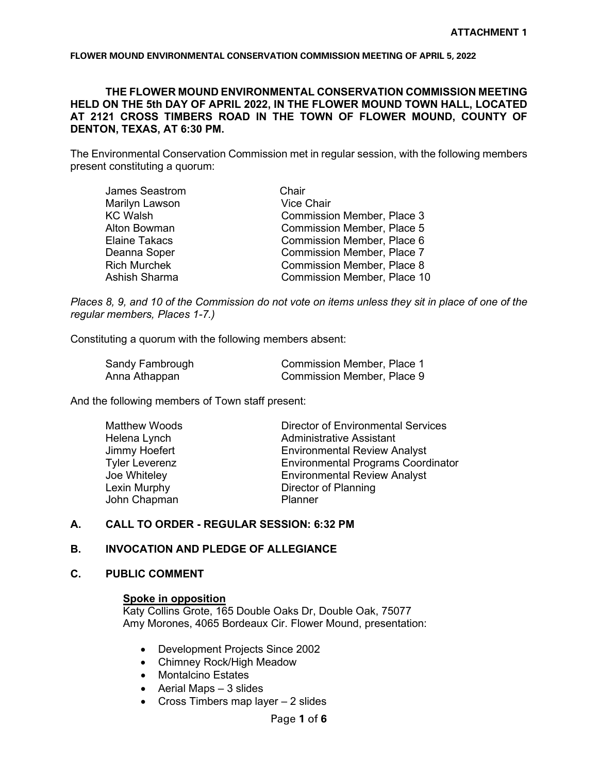# **THE FLOWER MOUND ENVIRONMENTAL CONSERVATION COMMISSION MEETING HELD ON THE 5th DAY OF APRIL 2022, IN THE FLOWER MOUND TOWN HALL, LOCATED AT 2121 CROSS TIMBERS ROAD IN THE TOWN OF FLOWER MOUND, COUNTY OF DENTON, TEXAS, AT 6:30 PM.**

The Environmental Conservation Commission met in regular session, with the following members present constituting a quorum:

| James Seastrom      | Chair                              |
|---------------------|------------------------------------|
| Marilyn Lawson      | <b>Vice Chair</b>                  |
| KC Walsh            | <b>Commission Member, Place 3</b>  |
| Alton Bowman        | <b>Commission Member, Place 5</b>  |
| Elaine Takacs       | <b>Commission Member, Place 6</b>  |
| Deanna Soper        | <b>Commission Member, Place 7</b>  |
| <b>Rich Murchek</b> | <b>Commission Member, Place 8</b>  |
| Ashish Sharma       | <b>Commission Member, Place 10</b> |
|                     |                                    |

*Places 8, 9, and 10 of the Commission do not vote on items unless they sit in place of one of the regular members, Places 1-7.)*

Constituting a quorum with the following members absent:

| Sandy Fambrough | Commission Member, Place 1 |
|-----------------|----------------------------|
| Anna Athappan   | Commission Member, Place 9 |

And the following members of Town staff present:

| <b>Matthew Woods</b>  | <b>Director of Environmental Services</b> |
|-----------------------|-------------------------------------------|
| Helena Lynch          | <b>Administrative Assistant</b>           |
| Jimmy Hoefert         | <b>Environmental Review Analyst</b>       |
| <b>Tyler Leverenz</b> | <b>Environmental Programs Coordinator</b> |
| Joe Whiteley          | <b>Environmental Review Analyst</b>       |
| Lexin Murphy          | Director of Planning                      |
| John Chapman          | Planner                                   |
|                       |                                           |

## **A. CALL TO ORDER - REGULAR SESSION: 6:32 PM**

## **B. INVOCATION AND PLEDGE OF ALLEGIANCE**

#### **C. PUBLIC COMMENT**

## **Spoke in opposition**

Katy Collins Grote, 165 Double Oaks Dr, Double Oak, 75077 Amy Morones, 4065 Bordeaux Cir. Flower Mound, presentation:

- Development Projects Since 2002
- Chimney Rock/High Meadow
- Montalcino Estates
- Aerial Maps 3 slides
- Cross Timbers map layer 2 slides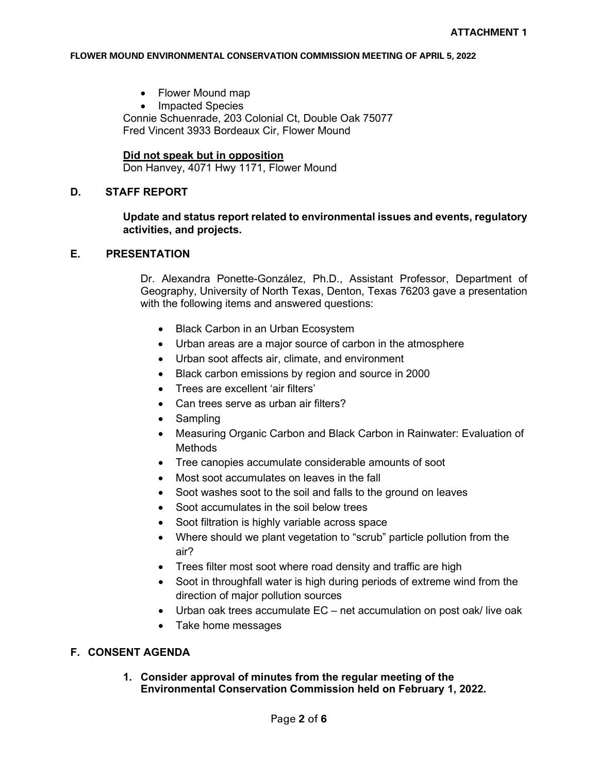- Flower Mound map
- Impacted Species Connie Schuenrade, 203 Colonial Ct, Double Oak 75077 Fred Vincent 3933 Bordeaux Cir, Flower Mound

## **Did not speak but in opposition**

Don Hanvey, 4071 Hwy 1171, Flower Mound

## **D. STAFF REPORT**

# **Update and status report related to environmental issues and events, regulatory activities, and projects.**

# **E. PRESENTATION**

Dr. Alexandra Ponette-González, Ph.D., Assistant Professor, Department of Geography, University of North Texas, Denton, Texas 76203 gave a presentation with the following items and answered questions:

- Black Carbon in an Urban Ecosystem
- Urban areas are a major source of carbon in the atmosphere
- Urban soot affects air, climate, and environment
- Black carbon emissions by region and source in 2000
- Trees are excellent 'air filters'
- Can trees serve as urban air filters?
- Sampling
- Measuring Organic Carbon and Black Carbon in Rainwater: Evaluation of Methods
- Tree canopies accumulate considerable amounts of soot
- Most soot accumulates on leaves in the fall
- Soot washes soot to the soil and falls to the ground on leaves
- Soot accumulates in the soil below trees
- Soot filtration is highly variable across space
- Where should we plant vegetation to "scrub" particle pollution from the air?
- Trees filter most soot where road density and traffic are high
- Soot in throughfall water is high during periods of extreme wind from the direction of major pollution sources
- Urban oak trees accumulate EC net accumulation on post oak/ live oak
- Take home messages

# **F. CONSENT AGENDA**

**1. Consider approval of minutes from the regular meeting of the Environmental Conservation Commission held on February 1, 2022.**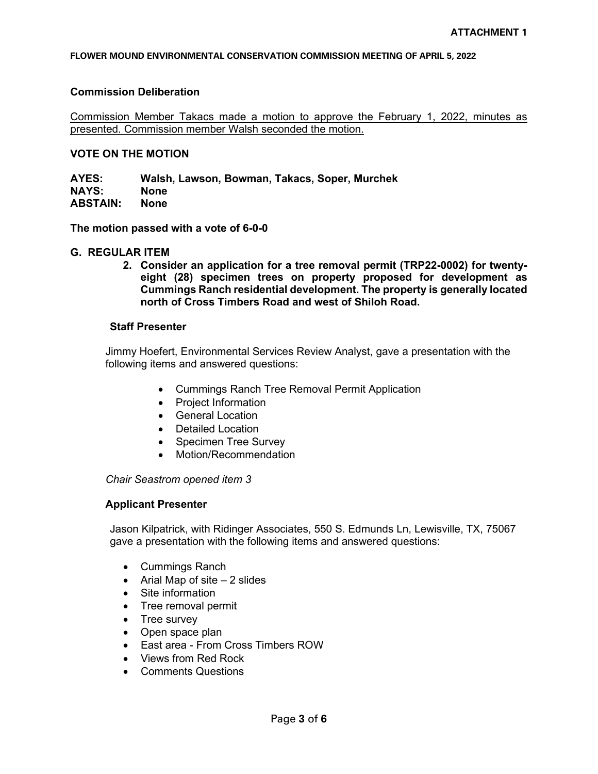## **Commission Deliberation**

Commission Member Takacs made a motion to approve the February 1, 2022, minutes as presented. Commission member Walsh seconded the motion.

# **VOTE ON THE MOTION**

**AYES: Walsh, Lawson, Bowman, Takacs, Soper, Murchek NAYS: None ABSTAIN: None**

**The motion passed with a vote of 6-0-0**

#### **G. REGULAR ITEM**

**2. Consider an application for a tree removal permit (TRP22-0002) for twentyeight (28) specimen trees on property proposed for development as Cummings Ranch residential development. The property is generally located north of Cross Timbers Road and west of Shiloh Road.**

## **Staff Presenter**

Jimmy Hoefert, Environmental Services Review Analyst, gave a presentation with the following items and answered questions:

- Cummings Ranch Tree Removal Permit Application
- Project Information
- General Location
- Detailed Location
- Specimen Tree Survey
- Motion/Recommendation

*Chair Seastrom opened item 3*

# **Applicant Presenter**

Jason Kilpatrick, with Ridinger Associates, 550 S. Edmunds Ln, Lewisville, TX, 75067 gave a presentation with the following items and answered questions:

- Cummings Ranch
- Arial Map of site 2 slides
- Site information
- Tree removal permit
- Tree survey
- Open space plan
- East area From Cross Timbers ROW
- Views from Red Rock
- Comments Questions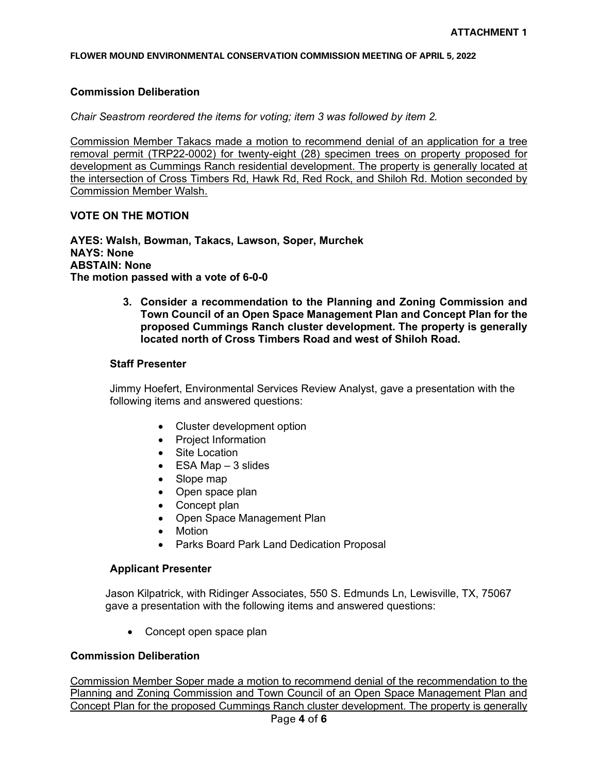## **Commission Deliberation**

*Chair Seastrom reordered the items for voting; item 3 was followed by item 2.* 

Commission Member Takacs made a motion to recommend denial of an application for a tree removal permit (TRP22-0002) for twenty-eight (28) specimen trees on property proposed for development as Cummings Ranch residential development. The property is generally located at the intersection of Cross Timbers Rd, Hawk Rd, Red Rock, and Shiloh Rd. Motion seconded by Commission Member Walsh.

# **VOTE ON THE MOTION**

**AYES: Walsh, Bowman, Takacs, Lawson, Soper, Murchek NAYS: None ABSTAIN: None The motion passed with a vote of 6-0-0**

> **3. Consider a recommendation to the Planning and Zoning Commission and Town Council of an Open Space Management Plan and Concept Plan for the proposed Cummings Ranch cluster development. The property is generally located north of Cross Timbers Road and west of Shiloh Road.**

#### **Staff Presenter**

Jimmy Hoefert, Environmental Services Review Analyst, gave a presentation with the following items and answered questions:

- Cluster development option
- Project Information
- Site Location
- $\bullet$  ESA Map  $-3$  slides
- Slope map
- Open space plan
- Concept plan
- Open Space Management Plan
- **Motion**
- Parks Board Park Land Dedication Proposal

#### **Applicant Presenter**

Jason Kilpatrick, with Ridinger Associates, 550 S. Edmunds Ln, Lewisville, TX, 75067 gave a presentation with the following items and answered questions:

• Concept open space plan

# **Commission Deliberation**

Commission Member Soper made a motion to recommend denial of the recommendation to the Planning and Zoning Commission and Town Council of an Open Space Management Plan and Concept Plan for the proposed Cummings Ranch cluster development. The property is generally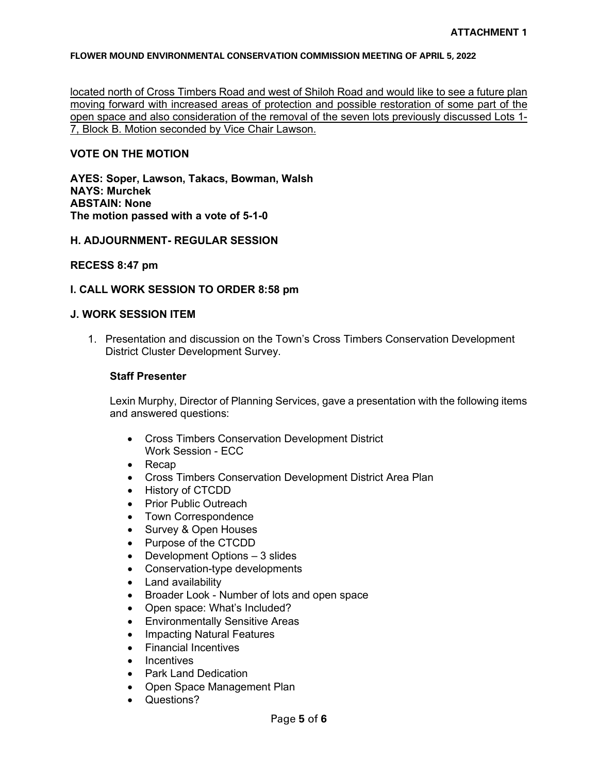located north of Cross Timbers Road and west of Shiloh Road and would like to see a future plan moving forward with increased areas of protection and possible restoration of some part of the open space and also consideration of the removal of the seven lots previously discussed Lots 1- 7, Block B. Motion seconded by Vice Chair Lawson.

## **VOTE ON THE MOTION**

**AYES: Soper, Lawson, Takacs, Bowman, Walsh NAYS: Murchek ABSTAIN: None The motion passed with a vote of 5-1-0**

## **H. ADJOURNMENT- REGULAR SESSION**

## **RECESS 8:47 pm**

## **I. CALL WORK SESSION TO ORDER 8:58 pm**

# **J. WORK SESSION ITEM**

1. Presentation and discussion on the Town's Cross Timbers Conservation Development District Cluster Development Survey.

## **Staff Presenter**

Lexin Murphy, Director of Planning Services, gave a presentation with the following items and answered questions:

- Cross Timbers Conservation Development District Work Session - ECC
- Recap
- Cross Timbers Conservation Development District Area Plan
- History of CTCDD
- Prior Public Outreach
- Town Correspondence
- Survey & Open Houses
- Purpose of the CTCDD
- Development Options 3 slides
- Conservation-type developments
- Land availability
- Broader Look Number of lots and open space
- Open space: What's Included?
- **Environmentally Sensitive Areas**
- Impacting Natural Features
- Financial Incentives
- **Incentives**
- Park Land Dedication
- Open Space Management Plan
- Questions?